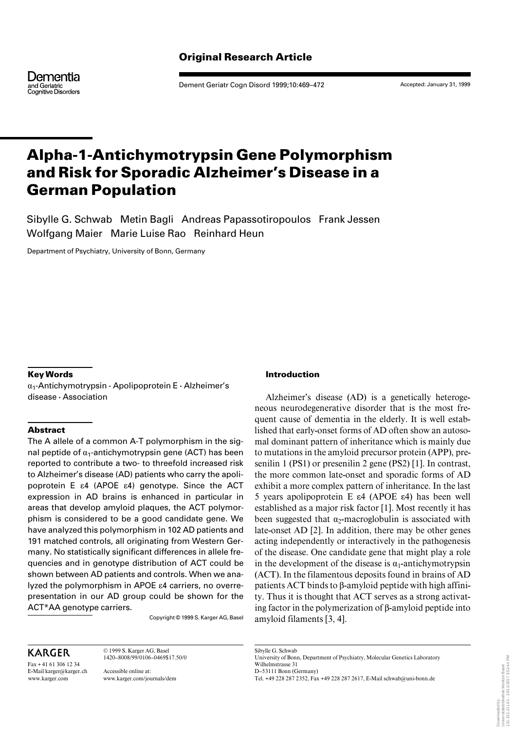Dementia and Geriatric<br>Cognitive Disorders

Dement Geriatr Cogn Disord 1999;10:469–472

Accepted: January 31, 1999

# **Alpha-1-Antichymotrypsin Gene Polymorphism and Risk for Sporadic Alzheimer's Disease in a German Population**

Sibylle G. Schwab Metin Bagli Andreas Papassotiropoulos Frank Jessen Wolfgang Maier Marie Luise Rao Reinhard Heun

Department of Psychiatry, University of Bonn, Germany

# **Key Words**

 $\alpha_1$ -Antichymotrypsin · Apolipoprotein E · Alzheimer's disease · Association

# **Abstract**

The A allele of a common A-T polymorphism in the signal peptide of  $\alpha_1$ -antichymotrypsin gene (ACT) has been reported to contribute a two- to threefold increased risk to Alzheimer's disease (AD) patients who carry the apolipoprotein E  $\epsilon$ 4 (APOE  $\epsilon$ 4) genotype. Since the ACT expression in AD brains is enhanced in particular in areas that develop amyloid plaques, the ACT polymorphism is considered to be a good candidate gene. We have analyzed this polymorphism in 102 AD patients and 191 matched controls, all originating from Western Germany. No statistically significant differences in allele frequencies and in genotype distribution of ACT could be shown between AD patients and controls. When we analyzed the polymorphism in APOE  $\varepsilon$ 4 carriers, no overrepresentation in our AD group could be shown for the ACT\*AA genotype carriers.

Copyright © 1999 S. Karger AG, Basel

# KARGER

 $Fax + 41613061234$ E-Mail karger@karger.ch www.karger.com

© 1999 S. Karger AG, Basel 1420–8008/99/0106–0469\$17.50/0

Accessible online at: www.karger.com/journals/dem

### **Introduction**

Alzheimer's disease (AD) is a genetically heterogeneous neurodegenerative disorder that is the most frequent cause of dementia in the elderly. It is well established that early-onset forms of AD often show an autosomal dominant pattern of inheritance which is mainly due to mutations in the amyloid precursor protein (APP), presenilin 1 (PS1) or presenilin 2 gene (PS2) [1]. In contrast, the more common late-onset and sporadic forms of AD exhibit a more complex pattern of inheritance. In the last 5 years apolipoprotein E  $\varepsilon$ 4 (APOE  $\varepsilon$ 4) has been well established as a major risk factor [1]. Most recently it has been suggested that  $\alpha_2$ -macroglobulin is associated with late-onset AD [2]. In addition, there may be other genes acting independently or interactively in the pathogenesis of the disease. One candidate gene that might play a role in the development of the disease is  $\alpha_1$ -antichymotrypsin (ACT). In the filamentous deposits found in brains of AD patients ACT binds to ß-amyloid peptide with high affinity. Thus it is thought that ACT serves as a strong activating factor in the polymerization of ß-amyloid peptide into amyloid filaments [3, 4].

Sibylle G. Schwab University of Bonn, Department of Psychiatry, Molecular Genetics Laboratory Wilhelmstrasse 31 D–53111 Bonn (Germany) Tel. +49 228 287 2352, Fax +49 228 287 2617, E-Mail schwab@uni-bonn.de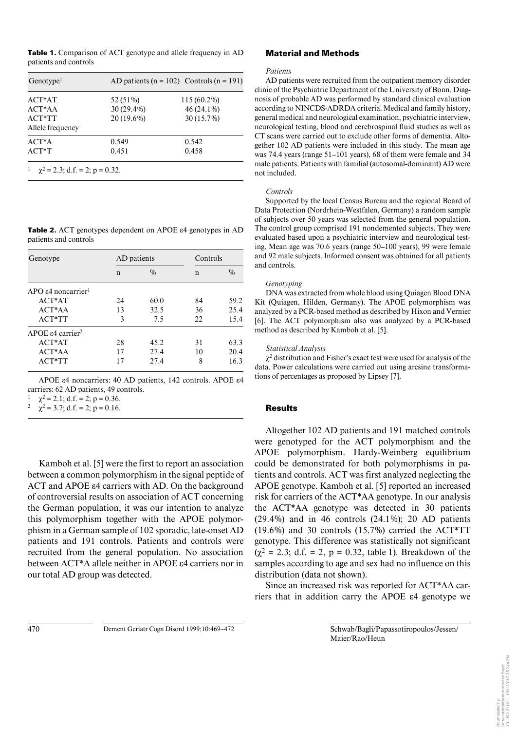**Table 1.** Comparison of ACT genotype and allele frequency in AD patients and controls

| Genotype <sup>1</sup>               | AD patients ( $n = 102$ ) Controls ( $n = 191$ ) |              |  |
|-------------------------------------|--------------------------------------------------|--------------|--|
| $ACT*AT$                            | 52 (51%)                                         | 115 (60.2%)  |  |
| $ACT*AA$                            | $30(29.4\%)$                                     | 46 (24.1%)   |  |
| $ACT*TT$                            | 20 (19.6%)                                       | $30(15.7\%)$ |  |
| Allele frequency                    |                                                  |              |  |
| $ACT*A$                             | 0.549                                            | 0.542        |  |
| $ACT*T$                             | 0.451                                            | 0.458        |  |
| $\chi^2$ = 2.3; d.f. = 2; p = 0.32. |                                                  |              |  |

**Table 2.** ACT genotypes dependent on APOE  $\varepsilon$ 4 genotypes in AD patients and controls

| Genotype                                  | AD patients |               | Controls |      |
|-------------------------------------------|-------------|---------------|----------|------|
|                                           | n           | $\frac{0}{0}$ | n        | $\%$ |
| $APO54$ noncarrier <sup>1</sup>           |             |               |          |      |
| $ACT*AT$                                  | 24          | 60.0          | 84       | 59.2 |
| $ACT*AA$                                  | 13          | 32.5          | 36       | 25.4 |
| $ACT*TT$                                  | 3           | 7.5           | 22       | 15.4 |
| APOE $\varepsilon$ 4 carrier <sup>2</sup> |             |               |          |      |
| $ACT*AT$                                  | 28          | 45.2          | 31       | 63.3 |
| $ACT*AA$                                  | 17          | 27.4          | 10       | 20.4 |
| ACT*TT                                    | 17          | 27.4          | 8        | 16.3 |

APOE  $\varepsilon$ 4 noncarriers: 40 AD patients, 142 controls. APOE  $\varepsilon$ 4 carriers: 62 AD patients, 49 controls.

 $\chi^2 = 2.1$ ; d.f. = 2; p = 0.36.<br>  $\chi^2 = 2.7$ ; d.f. = 2; p = 0.16

 $\chi^2$  = 3.7; d.f. = 2; p = 0.16.

Kamboh et al. [5] were the first to report an association between a common polymorphism in the signal peptide of ACT and APOE  $\varepsilon$ 4 carriers with AD. On the background of controversial results on association of ACT concerning the German population, it was our intention to analyze this polymorphism together with the APOE polymorphism in a German sample of 102 sporadic, late-onset AD patients and 191 controls. Patients and controls were recruited from the general population. No association between  $ACT^*A$  allele neither in APOE  $\varepsilon$ 4 carriers nor in our total AD group was detected.

# **Material and Methods**

#### *Patients*

AD patients were recruited from the outpatient memory disorder clinic of the Psychiatric Department of the University of Bonn. Diagnosis of probable AD was performed by standard clinical evaluation according to NINCDS-ADRDA criteria. Medical and family history, general medical and neurological examination, psychiatric interview, neurological testing, blood and cerebrospinal fluid studies as well as CT scans were carried out to exclude other forms of dementia. Altogether 102 AD patients were included in this study. The mean age was 74.4 years (range 51–101 years), 68 of them were female and 34 male patients. Patients with familial (autosomal-dominant) AD were not included.

#### *Controls*

Supported by the local Census Bureau and the regional Board of Data Protection (Nordrhein-Westfalen, Germany) a random sample of subjects over 50 years was selected from the general population. The control group comprised 191 nondemented subjects. They were evaluated based upon a psychiatric interview and neurological testing. Mean age was 70.6 years (range 50–100 years), 99 were female and 92 male subjects. Informed consent was obtained for all patients and controls.

#### *Genotyping*

DNA was extracted from whole blood using Quiagen Blood DNA Kit (Quiagen, Hilden, Germany). The APOE polymorphism was analyzed by a PCR-based method as described by Hixon and Vernier [6]. The ACT polymorphism also was analyzed by a PCR-based method as described by Kamboh et al. [5].

#### *Statistical Analysis*

 $\chi^2$  distribution and Fisher's exact test were used for analysis of the data. Power calculations were carried out using arcsine transformations of percentages as proposed by Lipsey [7].

# **Results**

Altogether 102 AD patients and 191 matched controls were genotyped for the ACT polymorphism and the APOE polymorphism. Hardy-Weinberg equilibrium could be demonstrated for both polymorphisms in patients and controls. ACT was first analyzed neglecting the APOE genotype. Kamboh et al. [5] reported an increased risk for carriers of the ACT\*AA genotype. In our analysis the ACT\*AA genotype was detected in 30 patients (29.4%) and in 46 controls (24.1%); 20 AD patients (19.6%) and 30 controls (15.7%) carried the ACT\*TT genotype. This difference was statistically not significant  $(\chi^2 = 2.3; d.f. = 2, p = 0.32,$  table 1). Breakdown of the samples according to age and sex had no influence on this distribution (data not shown).

Since an increased risk was reported for ACT\*AA carriers that in addition carry the APOE  $\varepsilon$ 4 genotype we

470 Dement Geriatr Cogn Disord 1999;10:469–472 Schwab/Bagli/Papassotiropoulos/Jessen/

Maier/Rao/Heun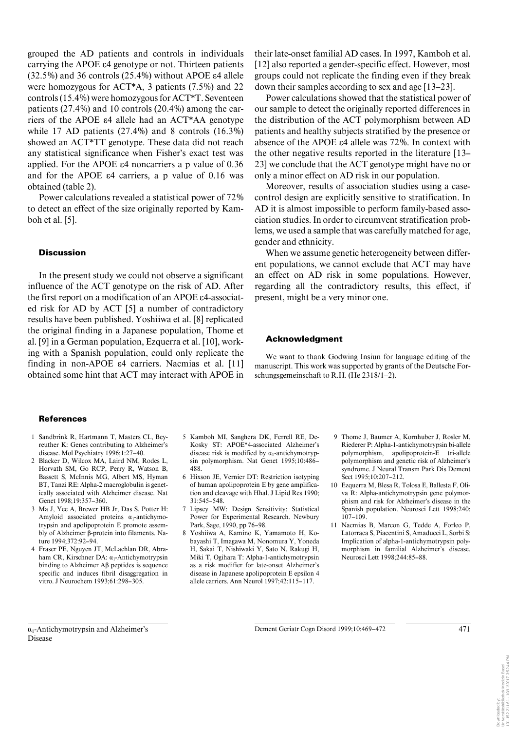grouped the AD patients and controls in individuals carrying the APOE  $\varepsilon$ 4 genotype or not. Thirteen patients  $(32.5\%)$  and 36 controls  $(25.4\%)$  without APOE  $\varepsilon$ 4 allele were homozygous for ACT\*A, 3 patients (7.5%) and 22 controls (15.4%) were homozygous for ACT\*T. Seventeen patients (27.4%) and 10 controls (20.4%) among the carriers of the APOE  $\varepsilon$ 4 allele had an ACT\*AA genotype while 17 AD patients (27.4%) and 8 controls (16.3%) showed an ACT\*TT genotype. These data did not reach any statistical significance when Fisher's exact test was applied. For the APOE  $\varepsilon$ 4 noncarriers a p value of 0.36 and for the APOE  $\varepsilon$ 4 carriers, a p value of 0.16 was obtained (table 2).

Power calculations revealed a statistical power of 72% to detect an effect of the size originally reported by Kamboh et al. [5].

#### **Discussion**

In the present study we could not observe a significant influence of the ACT genotype on the risk of AD. After the first report on a modification of an APOE  $\varepsilon$ 4-associated risk for AD by ACT [5] a number of contradictory results have been published. Yoshiiwa et al. [8] replicated the original finding in a Japanese population, Thome et al. [9] in a German population, Ezquerra et al. [10], working with a Spanish population, could only replicate the finding in non-APOE  $\varepsilon$ 4 carriers. Nacmias et al. [11] obtained some hint that ACT may interact with APOE in

their late-onset familial AD cases. In 1997, Kamboh et al. [12] also reported a gender-specific effect. However, most groups could not replicate the finding even if they break down their samples according to sex and age [13–23].

Power calculations showed that the statistical power of our sample to detect the originally reported differences in the distribution of the ACT polymorphism between AD patients and healthy subjects stratified by the presence or absence of the APOE  $\varepsilon$ 4 allele was 72%. In context with the other negative results reported in the literature [13– 23] we conclude that the ACT genotype might have no or only a minor effect on AD risk in our population.

Moreover, results of association studies using a casecontrol design are explicitly sensitive to stratification. In AD it is almost impossible to perform family-based association studies. In order to circumvent stratification problems, we used a sample that was carefully matched for age, gender and ethnicity.

When we assume genetic heterogeneity between different populations, we cannot exclude that ACT may have an effect on AD risk in some populations. However, regarding all the contradictory results, this effect, if present, might be a very minor one.

## **Acknowledgment**

We want to thank Godwing Insiun for language editing of the manuscript. This work was supported by grants of the Deutsche Forschungsgemeinschaft to R.H. (He 2318/1–2).

#### **References**

- 1 Sandbrink R, Hartmann T, Masters CL, Beyreuther K: Genes contributing to Alzheimer's disease. Mol Psychiatry 1996;1:27–40.
- 2 Blacker D, Wilcox MA, Laird NM, Rodes L, Horvath SM, Go RCP, Perry R, Watson B, Bassett S, McInnis MG, Albert MS, Hyman BT, Tanzi RE: Alpha-2 macroglobulin is genetically associated with Alzheimer disease. Nat Genet 1998;19:357–360.
- 3 Ma J, Yee A, Brewer HB Jr, Das S, Potter H: Amyloid associated proteins  $\alpha_1$ -antichymotrypsin and apolipoprotein E promote assembly of Alzheimer ß-protein into filaments. Nature 1994;372:92–94.
- 4 Fraser PE, Nguyen JT, McLachlan DR, Abraham CR, Kirschner DA:  $\alpha_1$ -Antichymotrypsin binding to Alzheimer Aß peptides is sequence specific and induces fibril disaggregation in vitro. J Neurochem 1993;61:298–305.
- 5 Kamboh MI, Sanghera DK, Ferrell RE, De-Kosky ST: APOE\*4-associated Alzheimer's disease risk is modified by  $\alpha_1$ -antichymotrypsin polymorphism. Nat Genet 1995;10:486– 488.
- 6 Hixson JE, Vernier DT: Restriction isotyping of human apolipoprotein E by gene amplification and cleavage with Hhal. J Lipid Res 1990;  $31:545 - 548$
- 7 Lipsey MW: Design Sensitivity: Statistical Power for Experimental Research. Newbury Park, Sage, 1990, pp 76–98.
- 8 Yoshiiwa A, Kamino K, Yamamoto H, Kobayashi T, Imagawa M, Nonomura Y, Yoneda H, Sakai T, Nishiwaki Y, Sato N, Rakugi H, Miki T, Ogihara T: Alpha-1-antichymotrypsin as a risk modifier for late-onset Alzheimer's disease in Japanese apolipoprotein E epsilon 4 allele carriers. Ann Neurol 1997;42:115–117.
- 9 Thome J, Baumer A, Kornhuber J, Rosler M, Riederer P: Alpha-1-antichymotrypsin bi-allele polymorphism, apolipoprotein-E tri-allele polymorphism and genetic risk of Alzheimer's syndrome. J Neural Transm Park Dis Dement Sect 1995;10:207–212.
- 10 Ezquerra M, Blesa R, Tolosa E, Ballesta F, Oliva R: Alpha-antichymotrypsin gene polymorphism and risk for Alzheimer's disease in the Spanish population. Neurosci Lett 1998;240: 107–109.
- 11 Nacmias B, Marcon G, Tedde A, Forleo P, Latorraca S, Piacentini S, Amaducci L, Sorbi S: Implication of alpha-1-antichymotrypsin polymorphism in familial Alzheimer's disease. Neurosci Lett 1998;244:85–88.